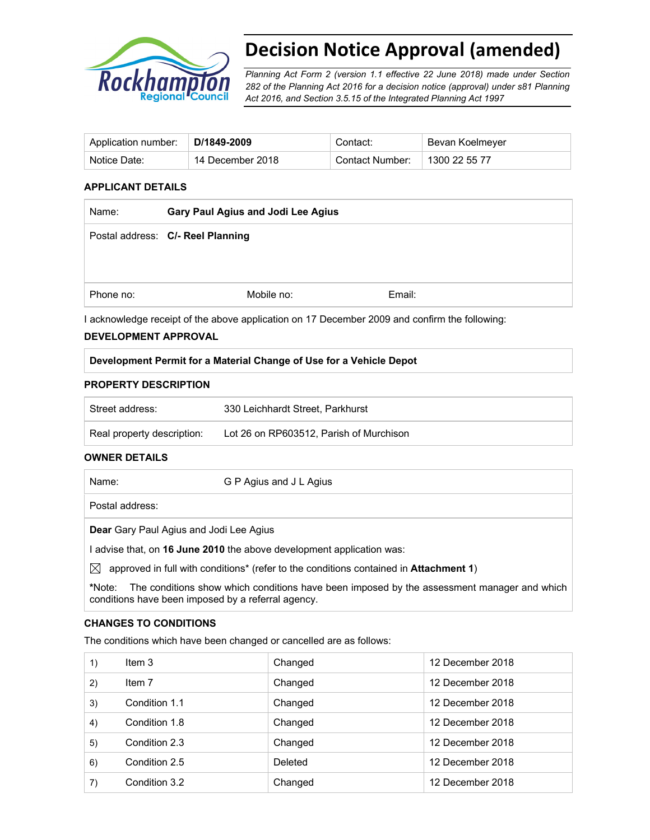

# **Decision Notice Approval (amended)**

*Planning Act Form 2 (version 1.1 effective 22 June 2018) made under Section 282 of the Planning Act 2016 for a decision notice (approval) under s81 Planning Act 2016, and Section 3.5.15 of the Integrated Planning Act 1997*

| Application number: | D/1849-2009      | Contact:        | Bevan Koelmeyer |
|---------------------|------------------|-----------------|-----------------|
| Notice Date:        | 14 December 2018 | Contact Number: | 1300 22 55 77   |

#### **APPLICANT DETAILS**

| Name:     | Gary Paul Agius and Jodi Lee Agius |        |
|-----------|------------------------------------|--------|
|           | Postal address: C/- Reel Planning  |        |
|           |                                    |        |
|           |                                    |        |
| Phone no: | Mobile no:                         | Email: |

I acknowledge receipt of the above application on 17 December 2009 and confirm the following:

#### **DEVELOPMENT APPROVAL**

#### **Development Permit for a Material Change of Use for a Vehicle Depot**

#### **PROPERTY DESCRIPTION**

| Street address:            | 330 Leichhardt Street. Parkhurst        |
|----------------------------|-----------------------------------------|
| Real property description: | Lot 26 on RP603512, Parish of Murchison |

#### **OWNER DETAILS**

| Name:                                                               | G P Agius and J L Agius |  |
|---------------------------------------------------------------------|-------------------------|--|
| Postal address:                                                     |                         |  |
| <b>Dear</b> Gary Paul Agius and Jodi Lee Agius                      |                         |  |
| advise that, on 16 June 2010 the above development application was: |                         |  |

 $\boxtimes$  approved in full with conditions<sup>\*</sup> (refer to the conditions contained in **Attachment 1**)

**\***Note:The conditions show which conditions have been imposed by the assessment manager and which conditions have been imposed by a referral agency.

#### **CHANGES TO CONDITIONS**

The conditions which have been changed or cancelled are as follows:

| 1) | Item 3        | Changed | 12 December 2018 |
|----|---------------|---------|------------------|
| 2) | Item 7        | Changed | 12 December 2018 |
| 3) | Condition 1.1 | Changed | 12 December 2018 |
| 4) | Condition 1.8 | Changed | 12 December 2018 |
| 5) | Condition 2.3 | Changed | 12 December 2018 |
| 6) | Condition 2.5 | Deleted | 12 December 2018 |
| 7) | Condition 3.2 | Changed | 12 December 2018 |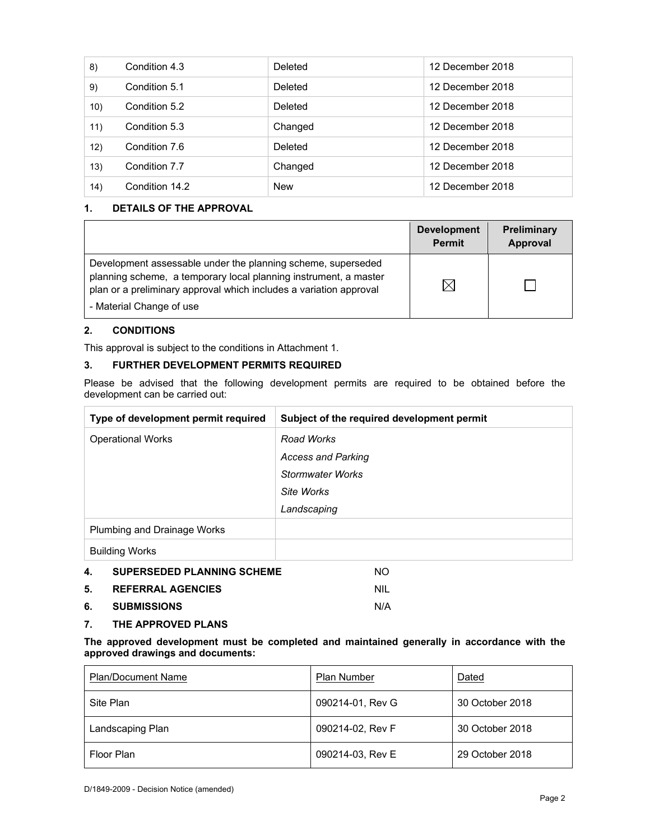| 8)   | Condition 4.3  | Deleted    | 12 December 2018 |
|------|----------------|------------|------------------|
| 9)   | Condition 5.1  | Deleted    | 12 December 2018 |
| 10)  | Condition 5.2  | Deleted    | 12 December 2018 |
| 11)  | Condition 5.3  | Changed    | 12 December 2018 |
| 12)  | Condition 7.6  | Deleted    | 12 December 2018 |
| 13)  | Condition 7.7  | Changed    | 12 December 2018 |
| (14) | Condition 14.2 | <b>New</b> | 12 December 2018 |

## **1. DETAILS OF THE APPROVAL**

|                                                                                                                                                                                                                                    | <b>Development</b><br><b>Permit</b> | <b>Preliminary</b><br>Approval |
|------------------------------------------------------------------------------------------------------------------------------------------------------------------------------------------------------------------------------------|-------------------------------------|--------------------------------|
| Development assessable under the planning scheme, superseded<br>planning scheme, a temporary local planning instrument, a master<br>plan or a preliminary approval which includes a variation approval<br>- Material Change of use | IX                                  |                                |

## **2. CONDITIONS**

This approval is subject to the conditions in Attachment 1.

## **3. FURTHER DEVELOPMENT PERMITS REQUIRED**

Please be advised that the following development permits are required to be obtained before the development can be carried out:

| Type of development permit required     | Subject of the required development permit |
|-----------------------------------------|--------------------------------------------|
| <b>Operational Works</b>                | Road Works                                 |
|                                         | <b>Access and Parking</b>                  |
|                                         | <b>Stormwater Works</b>                    |
|                                         | Site Works                                 |
|                                         | Landscaping                                |
| Plumbing and Drainage Works             |                                            |
| <b>Building Works</b>                   |                                            |
| <b>SUPERSEDED PLANNING SCHEME</b><br>4. | NO.                                        |
| <b>REFERRAL AGENCIES</b><br>5.          | <b>NIL</b>                                 |
| 6.<br><b>SUBMISSIONS</b>                | N/A                                        |

**7. THE APPROVED PLANS** 

**The approved development must be completed and maintained generally in accordance with the approved drawings and documents:** 

| <b>Plan/Document Name</b> | Plan Number      | Dated           |
|---------------------------|------------------|-----------------|
| Site Plan                 | 090214-01, Rev G | 30 October 2018 |
| Landscaping Plan          | 090214-02, Rev F | 30 October 2018 |
| Floor Plan                | 090214-03, Rev E | 29 October 2018 |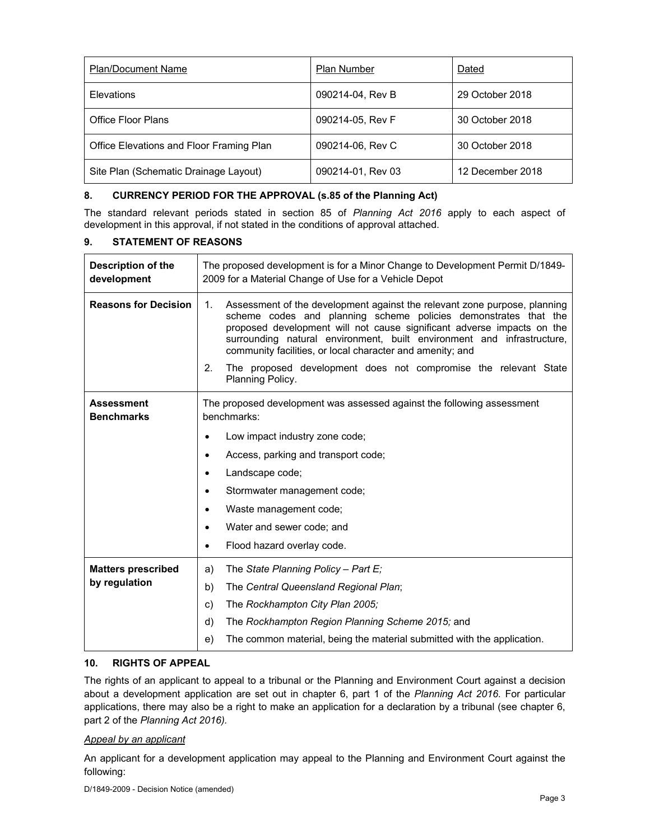| <b>Plan/Document Name</b>                | Plan Number       | Dated            |
|------------------------------------------|-------------------|------------------|
| Elevations                               | 090214-04, Rev B  | 29 October 2018  |
| Office Floor Plans                       | 090214-05, Rev F  | 30 October 2018  |
| Office Elevations and Floor Framing Plan | 090214-06, Rev C  | 30 October 2018  |
| Site Plan (Schematic Drainage Layout)    | 090214-01, Rev 03 | 12 December 2018 |

## **8. CURRENCY PERIOD FOR THE APPROVAL (s.85 of the Planning Act)**

The standard relevant periods stated in section 85 of *Planning Act 2016* apply to each aspect of development in this approval, if not stated in the conditions of approval attached.

## **9. STATEMENT OF REASONS**

| Description of the<br>development | The proposed development is for a Minor Change to Development Permit D/1849-<br>2009 for a Material Change of Use for a Vehicle Depot                                                                                                                                                                                                                               |  |  |
|-----------------------------------|---------------------------------------------------------------------------------------------------------------------------------------------------------------------------------------------------------------------------------------------------------------------------------------------------------------------------------------------------------------------|--|--|
| <b>Reasons for Decision</b>       | Assessment of the development against the relevant zone purpose, planning<br>1.<br>scheme codes and planning scheme policies demonstrates that the<br>proposed development will not cause significant adverse impacts on the<br>surrounding natural environment, built environment and infrastructure,<br>community facilities, or local character and amenity; and |  |  |
|                                   | The proposed development does not compromise the relevant State<br>2.<br>Planning Policy.                                                                                                                                                                                                                                                                           |  |  |
| Assessment<br><b>Benchmarks</b>   | The proposed development was assessed against the following assessment<br>benchmarks:                                                                                                                                                                                                                                                                               |  |  |
|                                   | Low impact industry zone code;                                                                                                                                                                                                                                                                                                                                      |  |  |
|                                   | Access, parking and transport code;                                                                                                                                                                                                                                                                                                                                 |  |  |
|                                   | Landscape code;                                                                                                                                                                                                                                                                                                                                                     |  |  |
|                                   | Stormwater management code;                                                                                                                                                                                                                                                                                                                                         |  |  |
|                                   | Waste management code;<br>٠                                                                                                                                                                                                                                                                                                                                         |  |  |
|                                   | Water and sewer code; and<br>٠                                                                                                                                                                                                                                                                                                                                      |  |  |
|                                   | Flood hazard overlay code.<br>٠                                                                                                                                                                                                                                                                                                                                     |  |  |
| <b>Matters prescribed</b>         | The State Planning Policy - Part E;<br>a)                                                                                                                                                                                                                                                                                                                           |  |  |
| by regulation                     | b)<br>The Central Queensland Regional Plan;                                                                                                                                                                                                                                                                                                                         |  |  |
|                                   | The Rockhampton City Plan 2005;<br>c)                                                                                                                                                                                                                                                                                                                               |  |  |
|                                   | The Rockhampton Region Planning Scheme 2015; and<br>d)                                                                                                                                                                                                                                                                                                              |  |  |
|                                   | The common material, being the material submitted with the application.<br>e)                                                                                                                                                                                                                                                                                       |  |  |

#### **10. RIGHTS OF APPEAL**

The rights of an applicant to appeal to a tribunal or the Planning and Environment Court against a decision about a development application are set out in chapter 6, part 1 of the *Planning Act 2016*. For particular applications, there may also be a right to make an application for a declaration by a tribunal (see chapter 6, part 2 of the *Planning Act 2016).*

#### *Appeal by an applicant*

An applicant for a development application may appeal to the Planning and Environment Court against the following: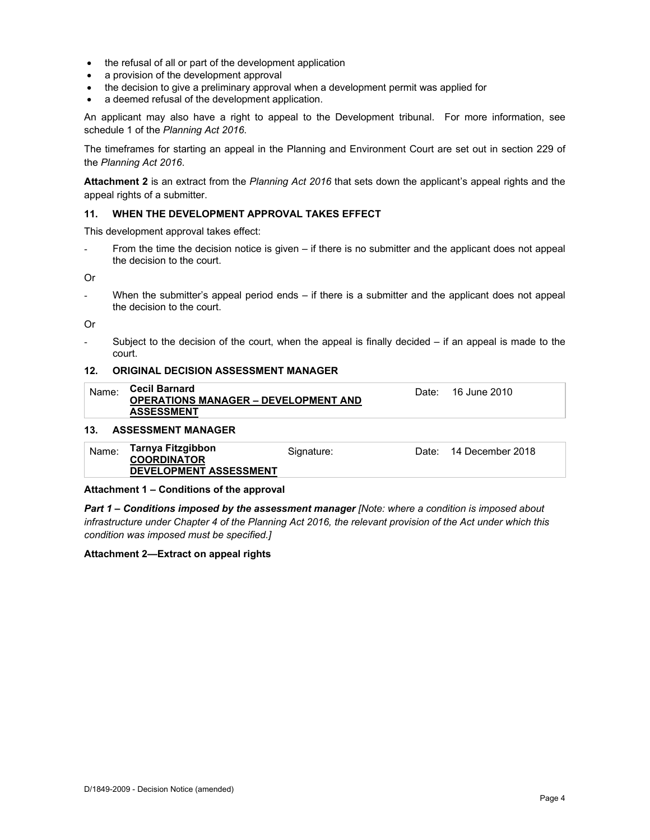- the refusal of all or part of the development application
- a provision of the development approval
- the decision to give a preliminary approval when a development permit was applied for
- a deemed refusal of the development application.

An applicant may also have a right to appeal to the Development tribunal. For more information, see schedule 1 of the *Planning Act 2016*.

The timeframes for starting an appeal in the Planning and Environment Court are set out in section 229 of the *Planning Act 2016*.

**Attachment 2** is an extract from the *Planning Act 2016* that sets down the applicant's appeal rights and the appeal rights of a submitter.

#### **11. WHEN THE DEVELOPMENT APPROVAL TAKES EFFECT**

This development approval takes effect:

From the time the decision notice is given – if there is no submitter and the applicant does not appeal the decision to the court.

Or

- When the submitter's appeal period ends – if there is a submitter and the applicant does not appeal the decision to the court.

Or

Subject to the decision of the court, when the appeal is finally decided  $-$  if an appeal is made to the court.

#### **12. ORIGINAL DECISION ASSESSMENT MANAGER**

| Name:                    | <b>Cecil Barnard</b><br><b>OPERATIONS MANAGER - DEVELOPMENT AND</b><br><b>ASSESSMENT</b> | Date: | 16 June 2010 |  |
|--------------------------|------------------------------------------------------------------------------------------|-------|--------------|--|
| $\overline{\phantom{a}}$ |                                                                                          |       |              |  |

#### **13. ASSESSMENT MANAGER**

| Tarnya Fitzgibbon<br>Name:<br>Date: 14 December 2018<br>Signature:<br><b>COORDINATOR</b><br><b>DEVELOPMENT ASSESSMENT</b> |  |
|---------------------------------------------------------------------------------------------------------------------------|--|
|---------------------------------------------------------------------------------------------------------------------------|--|

#### **Attachment 1 – Conditions of the approval**

*Part 1* **–** *Conditions imposed by the assessment manager [Note: where a condition is imposed about infrastructure under Chapter 4 of the Planning Act 2016, the relevant provision of the Act under which this condition was imposed must be specified.]*

#### **Attachment 2—Extract on appeal rights**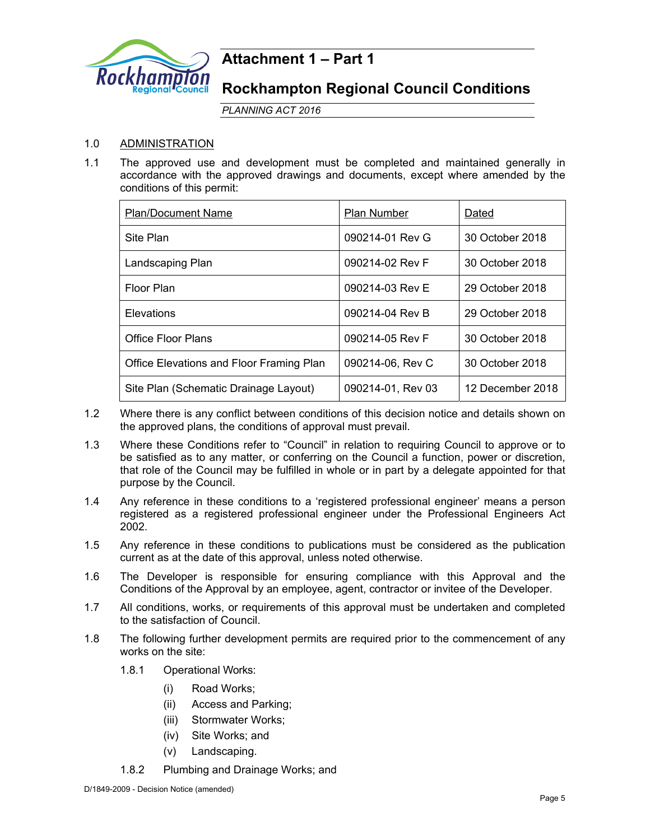

## **Attachment 1 – Part 1**

## **Rockhampton Regional Council Conditions**

*PLANNING ACT 2016*

## 1.0 ADMINISTRATION

1.1 The approved use and development must be completed and maintained generally in accordance with the approved drawings and documents, except where amended by the conditions of this permit:

| <b>Plan/Document Name</b>                | <b>Plan Number</b> | Dated            |
|------------------------------------------|--------------------|------------------|
| Site Plan                                | 090214-01 Rev G    | 30 October 2018  |
| Landscaping Plan                         | 090214-02 Rev F    | 30 October 2018  |
| Floor Plan                               | 090214-03 Rev E    | 29 October 2018  |
| Elevations                               | 090214-04 Rev B    | 29 October 2018  |
| <b>Office Floor Plans</b>                | 090214-05 Rev F    | 30 October 2018  |
| Office Elevations and Floor Framing Plan | 090214-06, Rev C   | 30 October 2018  |
| Site Plan (Schematic Drainage Layout)    | 090214-01, Rev 03  | 12 December 2018 |

- 1.2 Where there is any conflict between conditions of this decision notice and details shown on the approved plans, the conditions of approval must prevail.
- 1.3 Where these Conditions refer to "Council" in relation to requiring Council to approve or to be satisfied as to any matter, or conferring on the Council a function, power or discretion, that role of the Council may be fulfilled in whole or in part by a delegate appointed for that purpose by the Council.
- 1.4 Any reference in these conditions to a 'registered professional engineer' means a person registered as a registered professional engineer under the Professional Engineers Act 2002.
- 1.5 Any reference in these conditions to publications must be considered as the publication current as at the date of this approval, unless noted otherwise.
- 1.6 The Developer is responsible for ensuring compliance with this Approval and the Conditions of the Approval by an employee, agent, contractor or invitee of the Developer.
- 1.7 All conditions, works, or requirements of this approval must be undertaken and completed to the satisfaction of Council.
- 1.8 The following further development permits are required prior to the commencement of any works on the site:
	- 1.8.1 Operational Works:
		- (i) Road Works;
		- (ii) Access and Parking;
		- (iii) Stormwater Works;
		- (iv) Site Works; and
		- (v) Landscaping.
	- 1.8.2 Plumbing and Drainage Works; and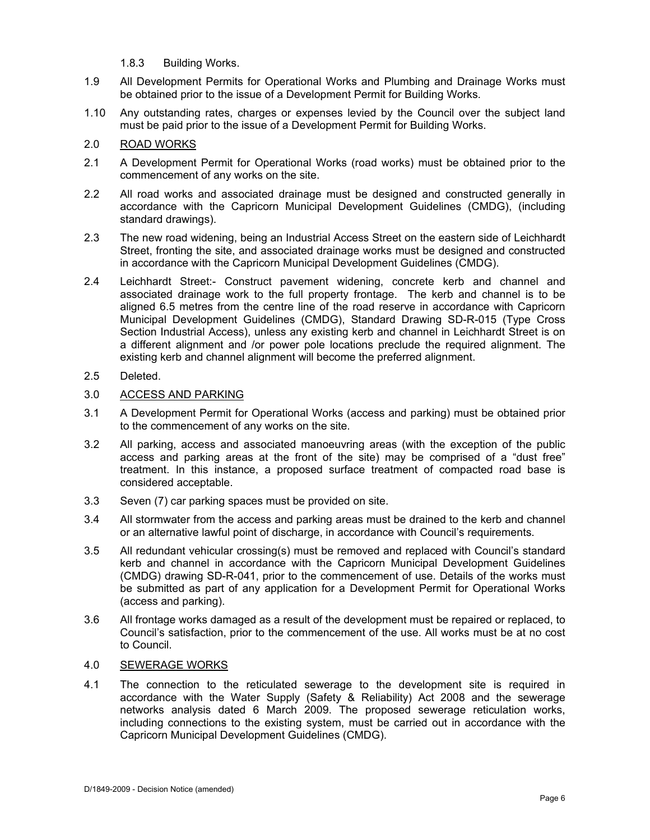- 1.8.3 Building Works.
- 1.9 All Development Permits for Operational Works and Plumbing and Drainage Works must be obtained prior to the issue of a Development Permit for Building Works.
- 1.10 Any outstanding rates, charges or expenses levied by the Council over the subject land must be paid prior to the issue of a Development Permit for Building Works.

## 2.0 ROAD WORKS

- 2.1 A Development Permit for Operational Works (road works) must be obtained prior to the commencement of any works on the site.
- 2.2 All road works and associated drainage must be designed and constructed generally in accordance with the Capricorn Municipal Development Guidelines (CMDG), (including standard drawings).
- 2.3 The new road widening, being an Industrial Access Street on the eastern side of Leichhardt Street, fronting the site, and associated drainage works must be designed and constructed in accordance with the Capricorn Municipal Development Guidelines (CMDG).
- 2.4 Leichhardt Street:- Construct pavement widening, concrete kerb and channel and associated drainage work to the full property frontage. The kerb and channel is to be aligned 6.5 metres from the centre line of the road reserve in accordance with Capricorn Municipal Development Guidelines (CMDG), Standard Drawing SD-R-015 (Type Cross Section Industrial Access), unless any existing kerb and channel in Leichhardt Street is on a different alignment and /or power pole locations preclude the required alignment. The existing kerb and channel alignment will become the preferred alignment.

## 2.5 Deleted.

## 3.0 ACCESS AND PARKING

- 3.1 A Development Permit for Operational Works (access and parking) must be obtained prior to the commencement of any works on the site.
- 3.2 All parking, access and associated manoeuvring areas (with the exception of the public access and parking areas at the front of the site) may be comprised of a "dust free" treatment. In this instance, a proposed surface treatment of compacted road base is considered acceptable.
- 3.3 Seven (7) car parking spaces must be provided on site.
- 3.4 All stormwater from the access and parking areas must be drained to the kerb and channel or an alternative lawful point of discharge, in accordance with Council's requirements.
- 3.5 All redundant vehicular crossing(s) must be removed and replaced with Council's standard kerb and channel in accordance with the Capricorn Municipal Development Guidelines (CMDG) drawing SD-R-041, prior to the commencement of use. Details of the works must be submitted as part of any application for a Development Permit for Operational Works (access and parking).
- 3.6 All frontage works damaged as a result of the development must be repaired or replaced, to Council's satisfaction, prior to the commencement of the use. All works must be at no cost to Council.

## 4.0 SEWERAGE WORKS

4.1 The connection to the reticulated sewerage to the development site is required in accordance with the Water Supply (Safety & Reliability) Act 2008 and the sewerage networks analysis dated 6 March 2009. The proposed sewerage reticulation works, including connections to the existing system, must be carried out in accordance with the Capricorn Municipal Development Guidelines (CMDG).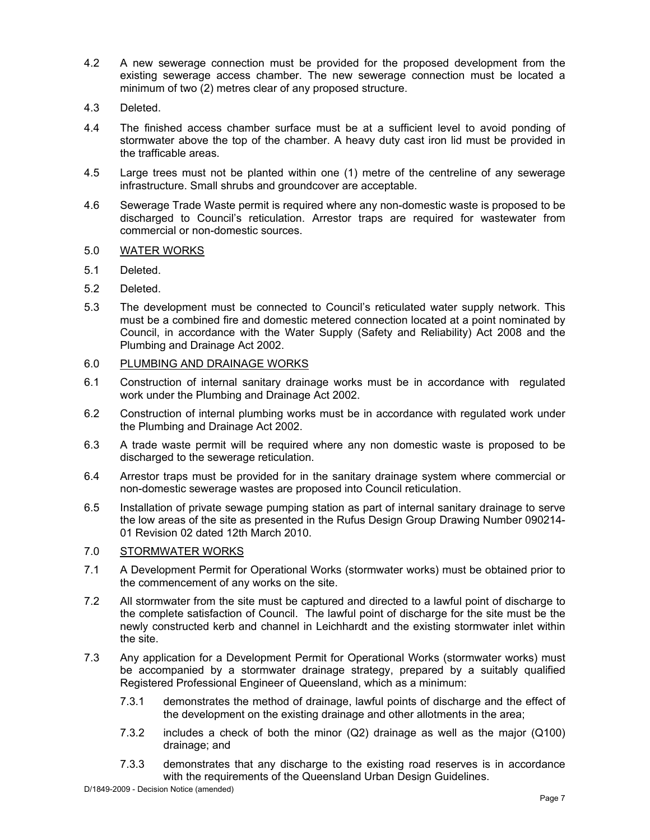- 4.2 A new sewerage connection must be provided for the proposed development from the existing sewerage access chamber. The new sewerage connection must be located a minimum of two (2) metres clear of any proposed structure.
- 4.3 Deleted.
- 4.4 The finished access chamber surface must be at a sufficient level to avoid ponding of stormwater above the top of the chamber. A heavy duty cast iron lid must be provided in the trafficable areas.
- 4.5 Large trees must not be planted within one (1) metre of the centreline of any sewerage infrastructure. Small shrubs and groundcover are acceptable.
- 4.6 Sewerage Trade Waste permit is required where any non-domestic waste is proposed to be discharged to Council's reticulation. Arrestor traps are required for wastewater from commercial or non-domestic sources.
- 5.0 WATER WORKS
- 5.1 Deleted.
- 5.2 Deleted.
- 5.3 The development must be connected to Council's reticulated water supply network. This must be a combined fire and domestic metered connection located at a point nominated by Council, in accordance with the Water Supply (Safety and Reliability) Act 2008 and the Plumbing and Drainage Act 2002.

## 6.0 PLUMBING AND DRAINAGE WORKS

- 6.1 Construction of internal sanitary drainage works must be in accordance with regulated work under the Plumbing and Drainage Act 2002.
- 6.2 Construction of internal plumbing works must be in accordance with regulated work under the Plumbing and Drainage Act 2002.
- 6.3 A trade waste permit will be required where any non domestic waste is proposed to be discharged to the sewerage reticulation.
- 6.4 Arrestor traps must be provided for in the sanitary drainage system where commercial or non-domestic sewerage wastes are proposed into Council reticulation.
- 6.5 Installation of private sewage pumping station as part of internal sanitary drainage to serve the low areas of the site as presented in the Rufus Design Group Drawing Number 090214- 01 Revision 02 dated 12th March 2010.

## 7.0 STORMWATER WORKS

- 7.1 A Development Permit for Operational Works (stormwater works) must be obtained prior to the commencement of any works on the site.
- 7.2 All stormwater from the site must be captured and directed to a lawful point of discharge to the complete satisfaction of Council. The lawful point of discharge for the site must be the newly constructed kerb and channel in Leichhardt and the existing stormwater inlet within the site.
- 7.3 Any application for a Development Permit for Operational Works (stormwater works) must be accompanied by a stormwater drainage strategy, prepared by a suitably qualified Registered Professional Engineer of Queensland, which as a minimum:
	- 7.3.1 demonstrates the method of drainage, lawful points of discharge and the effect of the development on the existing drainage and other allotments in the area;
	- 7.3.2 includes a check of both the minor (Q2) drainage as well as the major (Q100) drainage; and
	- 7.3.3 demonstrates that any discharge to the existing road reserves is in accordance with the requirements of the Queensland Urban Design Guidelines.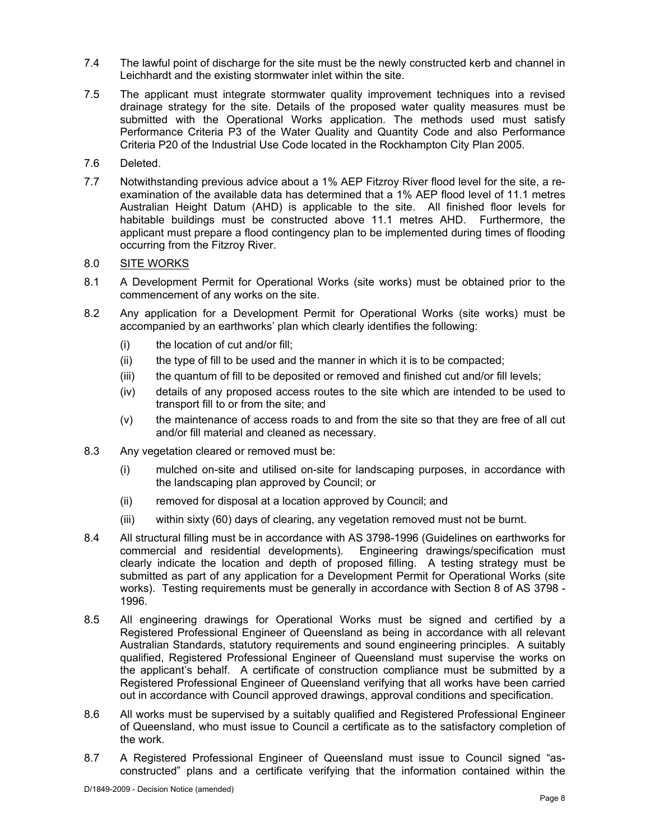- 7.4 The lawful point of discharge for the site must be the newly constructed kerb and channel in Leichhardt and the existing stormwater inlet within the site.
- 7.5 The applicant must integrate stormwater quality improvement techniques into a revised drainage strategy for the site. Details of the proposed water quality measures must be submitted with the Operational Works application. The methods used must satisfy Performance Criteria P3 of the Water Quality and Quantity Code and also Performance Criteria P20 of the Industrial Use Code located in the Rockhampton City Plan 2005.
- 7.6 Deleted.
- 7.7 Notwithstanding previous advice about a 1% AEP Fitzroy River flood level for the site, a reexamination of the available data has determined that a 1% AEP flood level of 11.1 metres Australian Height Datum (AHD) is applicable to the site. All finished floor levels for habitable buildings must be constructed above 11.1 metres AHD. Furthermore, the applicant must prepare a flood contingency plan to be implemented during times of flooding occurring from the Fitzroy River.

## 8.0 SITE WORKS

- 8.1 A Development Permit for Operational Works (site works) must be obtained prior to the commencement of any works on the site.
- 8.2 Any application for a Development Permit for Operational Works (site works) must be accompanied by an earthworks' plan which clearly identifies the following:
	- (i) the location of cut and/or fill;
	- (ii) the type of fill to be used and the manner in which it is to be compacted;
	- (iii) the quantum of fill to be deposited or removed and finished cut and/or fill levels;
	- (iv) details of any proposed access routes to the site which are intended to be used to transport fill to or from the site; and
	- (v) the maintenance of access roads to and from the site so that they are free of all cut and/or fill material and cleaned as necessary.
- 8.3 Any vegetation cleared or removed must be:
	- (i) mulched on-site and utilised on-site for landscaping purposes, in accordance with the landscaping plan approved by Council; or
	- (ii) removed for disposal at a location approved by Council; and
	- (iii) within sixty (60) days of clearing, any vegetation removed must not be burnt.
- 8.4 All structural filling must be in accordance with AS 3798-1996 (Guidelines on earthworks for commercial and residential developments). Engineering drawings/specification must clearly indicate the location and depth of proposed filling. A testing strategy must be submitted as part of any application for a Development Permit for Operational Works (site works). Testing requirements must be generally in accordance with Section 8 of AS 3798 - 1996.
- 8.5 All engineering drawings for Operational Works must be signed and certified by a Registered Professional Engineer of Queensland as being in accordance with all relevant Australian Standards, statutory requirements and sound engineering principles. A suitably qualified, Registered Professional Engineer of Queensland must supervise the works on the applicant's behalf. A certificate of construction compliance must be submitted by a Registered Professional Engineer of Queensland verifying that all works have been carried out in accordance with Council approved drawings, approval conditions and specification.
- 8.6 All works must be supervised by a suitably qualified and Registered Professional Engineer of Queensland, who must issue to Council a certificate as to the satisfactory completion of the work.
- 8.7 A Registered Professional Engineer of Queensland must issue to Council signed "asconstructed" plans and a certificate verifying that the information contained within the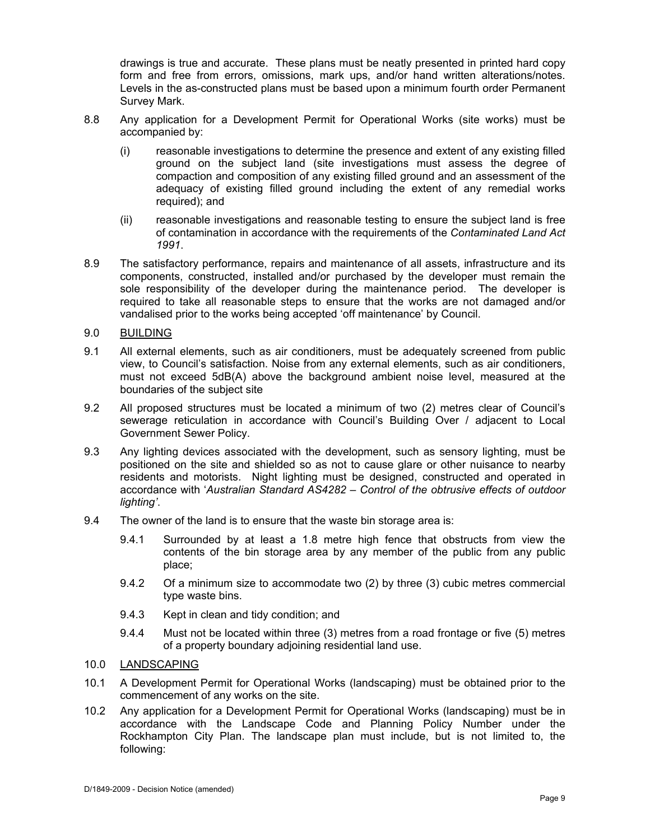drawings is true and accurate. These plans must be neatly presented in printed hard copy form and free from errors, omissions, mark ups, and/or hand written alterations/notes. Levels in the as-constructed plans must be based upon a minimum fourth order Permanent Survey Mark.

- 8.8 Any application for a Development Permit for Operational Works (site works) must be accompanied by:
	- (i) reasonable investigations to determine the presence and extent of any existing filled ground on the subject land (site investigations must assess the degree of compaction and composition of any existing filled ground and an assessment of the adequacy of existing filled ground including the extent of any remedial works required); and
	- (ii) reasonable investigations and reasonable testing to ensure the subject land is free of contamination in accordance with the requirements of the *Contaminated Land Act 1991*.
- 8.9 The satisfactory performance, repairs and maintenance of all assets, infrastructure and its components, constructed, installed and/or purchased by the developer must remain the sole responsibility of the developer during the maintenance period. The developer is required to take all reasonable steps to ensure that the works are not damaged and/or vandalised prior to the works being accepted 'off maintenance' by Council.
- 9.0 BUILDING
- 9.1 All external elements, such as air conditioners, must be adequately screened from public view, to Council's satisfaction. Noise from any external elements, such as air conditioners, must not exceed 5dB(A) above the background ambient noise level, measured at the boundaries of the subject site
- 9.2 All proposed structures must be located a minimum of two (2) metres clear of Council's sewerage reticulation in accordance with Council's Building Over / adjacent to Local Government Sewer Policy.
- 9.3 Any lighting devices associated with the development, such as sensory lighting, must be positioned on the site and shielded so as not to cause glare or other nuisance to nearby residents and motorists. Night lighting must be designed, constructed and operated in accordance with '*Australian Standard AS4282 – Control of the obtrusive effects of outdoor lighting'*.
- 9.4 The owner of the land is to ensure that the waste bin storage area is:
	- 9.4.1 Surrounded by at least a 1.8 metre high fence that obstructs from view the contents of the bin storage area by any member of the public from any public place;
	- 9.4.2 Of a minimum size to accommodate two (2) by three (3) cubic metres commercial type waste bins.
	- 9.4.3 Kept in clean and tidy condition; and
	- 9.4.4 Must not be located within three (3) metres from a road frontage or five (5) metres of a property boundary adjoining residential land use.
- 10.0 LANDSCAPING
- 10.1 A Development Permit for Operational Works (landscaping) must be obtained prior to the commencement of any works on the site.
- 10.2 Any application for a Development Permit for Operational Works (landscaping) must be in accordance with the Landscape Code and Planning Policy Number under the Rockhampton City Plan. The landscape plan must include, but is not limited to, the following: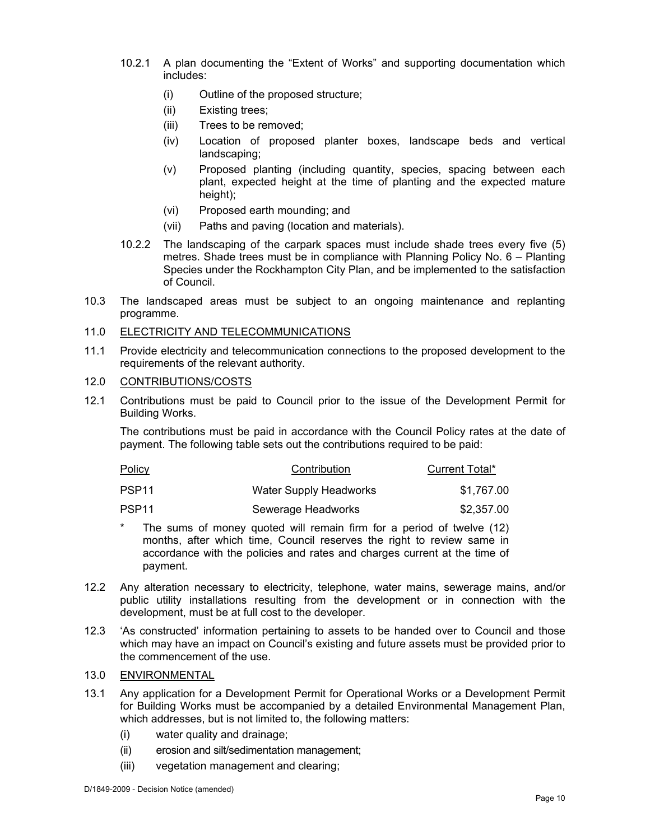- 10.2.1 A plan documenting the "Extent of Works" and supporting documentation which includes:
	- (i) Outline of the proposed structure;
	- (ii) Existing trees;
	- (iii) Trees to be removed;
	- (iv) Location of proposed planter boxes, landscape beds and vertical landscaping;
	- (v) Proposed planting (including quantity, species, spacing between each plant, expected height at the time of planting and the expected mature height);
	- (vi) Proposed earth mounding; and
	- (vii) Paths and paving (location and materials).
- 10.2.2 The landscaping of the carpark spaces must include shade trees every five (5) metres. Shade trees must be in compliance with Planning Policy No. 6 – Planting Species under the Rockhampton City Plan, and be implemented to the satisfaction of Council.
- 10.3 The landscaped areas must be subject to an ongoing maintenance and replanting programme.

## 11.0 ELECTRICITY AND TELECOMMUNICATIONS

11.1 Provide electricity and telecommunication connections to the proposed development to the requirements of the relevant authority.

## 12.0 CONTRIBUTIONS/COSTS

12.1 Contributions must be paid to Council prior to the issue of the Development Permit for Building Works.

The contributions must be paid in accordance with the Council Policy rates at the date of payment. The following table sets out the contributions required to be paid:

| <u>Policy</u> | Contribution           | Current Total* |
|---------------|------------------------|----------------|
| PSP11         | Water Supply Headworks | \$1,767.00     |
| PSP11         | Sewerage Headworks     | \$2,357.00     |

- \* The sums of money quoted will remain firm for a period of twelve (12) months, after which time, Council reserves the right to review same in accordance with the policies and rates and charges current at the time of payment.
- 12.2 Any alteration necessary to electricity, telephone, water mains, sewerage mains, and/or public utility installations resulting from the development or in connection with the development, must be at full cost to the developer.
- 12.3 'As constructed' information pertaining to assets to be handed over to Council and those which may have an impact on Council's existing and future assets must be provided prior to the commencement of the use.

## 13.0 ENVIRONMENTAL

- 13.1 Any application for a Development Permit for Operational Works or a Development Permit for Building Works must be accompanied by a detailed Environmental Management Plan, which addresses, but is not limited to, the following matters:
	- (i) water quality and drainage;
	- (ii) erosion and silt/sedimentation management;
	- (iii) vegetation management and clearing;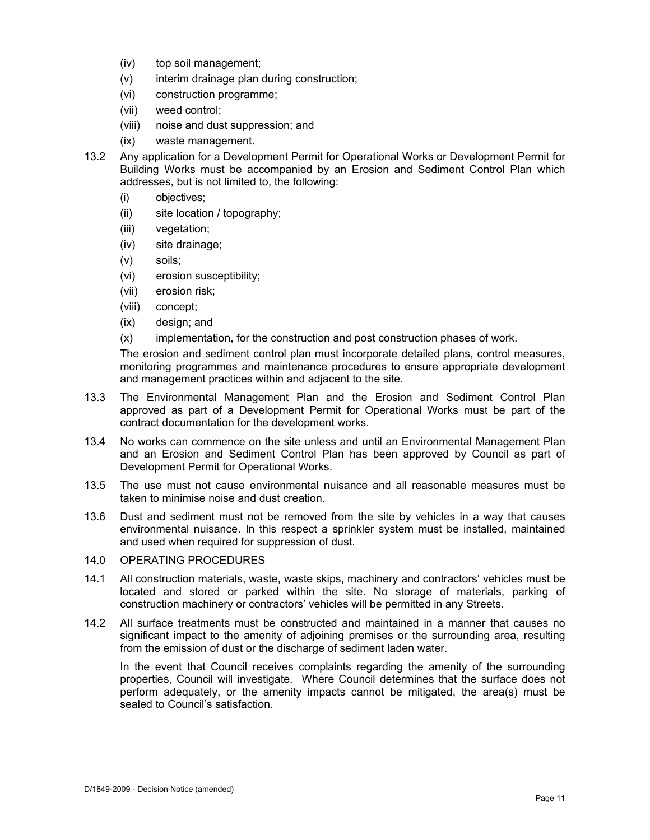- (iv) top soil management;
- (v) interim drainage plan during construction;
- (vi) construction programme;
- (vii) weed control;
- (viii) noise and dust suppression; and
- (ix) waste management.
- 13.2 Any application for a Development Permit for Operational Works or Development Permit for Building Works must be accompanied by an Erosion and Sediment Control Plan which addresses, but is not limited to, the following:
	- (i) objectives;
	- (ii) site location / topography;
	- (iii) vegetation;
	- (iv) site drainage;
	- (v) soils;
	- (vi) erosion susceptibility;
	- (vii) erosion risk;
	- (viii) concept;
	- (ix) design; and
	- (x) implementation, for the construction and post construction phases of work.

The erosion and sediment control plan must incorporate detailed plans, control measures, monitoring programmes and maintenance procedures to ensure appropriate development and management practices within and adjacent to the site.

- 13.3 The Environmental Management Plan and the Erosion and Sediment Control Plan approved as part of a Development Permit for Operational Works must be part of the contract documentation for the development works.
- 13.4 No works can commence on the site unless and until an Environmental Management Plan and an Erosion and Sediment Control Plan has been approved by Council as part of Development Permit for Operational Works.
- 13.5 The use must not cause environmental nuisance and all reasonable measures must be taken to minimise noise and dust creation.
- 13.6 Dust and sediment must not be removed from the site by vehicles in a way that causes environmental nuisance. In this respect a sprinkler system must be installed, maintained and used when required for suppression of dust.

## 14.0 OPERATING PROCEDURES

- 14.1 All construction materials, waste, waste skips, machinery and contractors' vehicles must be located and stored or parked within the site. No storage of materials, parking of construction machinery or contractors' vehicles will be permitted in any Streets.
- 14.2 All surface treatments must be constructed and maintained in a manner that causes no significant impact to the amenity of adjoining premises or the surrounding area, resulting from the emission of dust or the discharge of sediment laden water.

In the event that Council receives complaints regarding the amenity of the surrounding properties, Council will investigate. Where Council determines that the surface does not perform adequately, or the amenity impacts cannot be mitigated, the area(s) must be sealed to Council's satisfaction.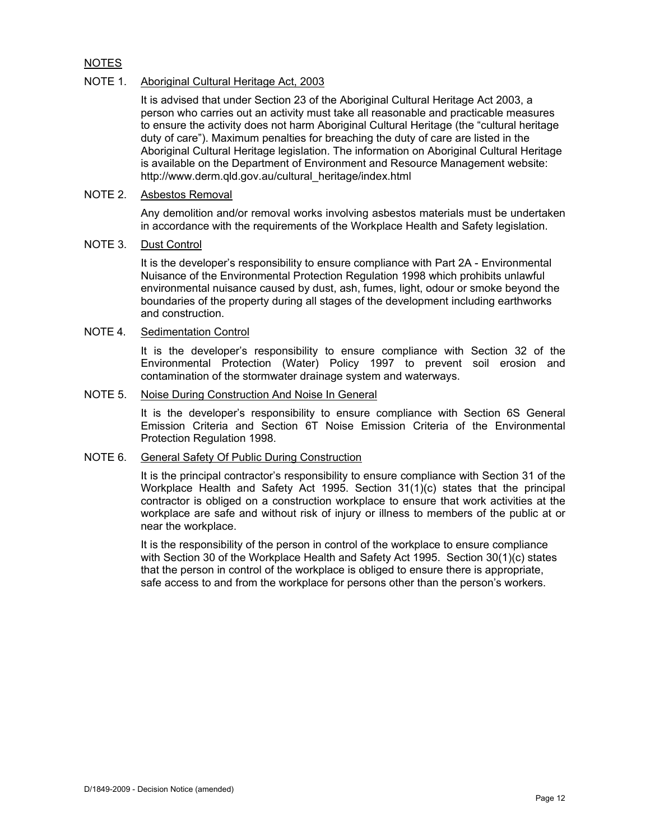## NOTES

## NOTE 1. Aboriginal Cultural Heritage Act, 2003

It is advised that under Section 23 of the Aboriginal Cultural Heritage Act 2003, a person who carries out an activity must take all reasonable and practicable measures to ensure the activity does not harm Aboriginal Cultural Heritage (the "cultural heritage duty of care"). Maximum penalties for breaching the duty of care are listed in the Aboriginal Cultural Heritage legislation. The information on Aboriginal Cultural Heritage is available on the Department of Environment and Resource Management website: http://www.derm.qld.gov.au/cultural\_heritage/index.html

## NOTE 2. Asbestos Removal

Any demolition and/or removal works involving asbestos materials must be undertaken in accordance with the requirements of the Workplace Health and Safety legislation.

## NOTE 3. Dust Control

It is the developer's responsibility to ensure compliance with Part 2A - Environmental Nuisance of the Environmental Protection Regulation 1998 which prohibits unlawful environmental nuisance caused by dust, ash, fumes, light, odour or smoke beyond the boundaries of the property during all stages of the development including earthworks and construction.

## NOTE 4. Sedimentation Control

It is the developer's responsibility to ensure compliance with Section 32 of the Environmental Protection (Water) Policy 1997 to prevent soil erosion and contamination of the stormwater drainage system and waterways.

#### NOTE 5. Noise During Construction And Noise In General

It is the developer's responsibility to ensure compliance with Section 6S General Emission Criteria and Section 6T Noise Emission Criteria of the Environmental Protection Regulation 1998.

#### NOTE 6. General Safety Of Public During Construction

It is the principal contractor's responsibility to ensure compliance with Section 31 of the Workplace Health and Safety Act 1995. Section 31(1)(c) states that the principal contractor is obliged on a construction workplace to ensure that work activities at the workplace are safe and without risk of injury or illness to members of the public at or near the workplace.

It is the responsibility of the person in control of the workplace to ensure compliance with Section 30 of the Workplace Health and Safety Act 1995. Section 30(1)(c) states that the person in control of the workplace is obliged to ensure there is appropriate, safe access to and from the workplace for persons other than the person's workers.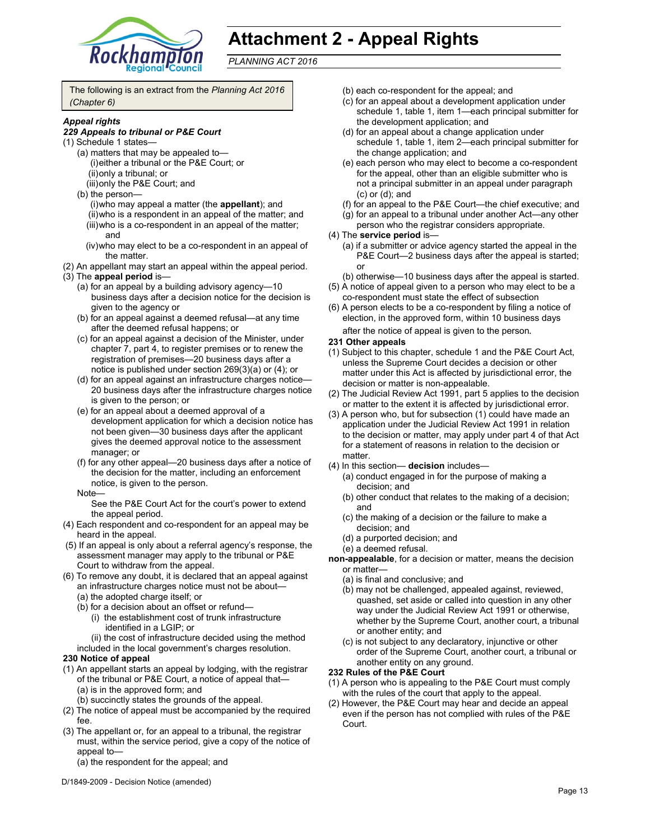

# **Attachment 2 - Appeal Rights**

*PLANNING ACT 2016*

The following is an extract from the *Planning Act 2016 (Chapter 6)*

#### *Appeal rights*

#### *229 Appeals to tribunal or P&E Court*

- (1) Schedule 1 states—
	- (a) matters that may be appealed to— (i) either a tribunal or the P&E Court; or (ii) only a tribunal; or
		- (iii) only the P&E Court; and
	- (b) the person—
		- (i) who may appeal a matter (the **appellant**); and (ii) who is a respondent in an appeal of the matter; and (iii) who is a co-respondent in an appeal of the matter; and
		- (iv) who may elect to be a co-respondent in an appeal of the matter.
- (2) An appellant may start an appeal within the appeal period.
- (3) The **appeal period** is—
	- (a) for an appeal by a building advisory agency—10 business days after a decision notice for the decision is given to the agency or
	- (b) for an appeal against a deemed refusal—at any time after the deemed refusal happens; or
	- (c) for an appeal against a decision of the Minister, under chapter 7, part 4, to register premises or to renew the registration of premises—20 business days after a notice is published under section 269(3)(a) or (4); or
	- (d) for an appeal against an infrastructure charges notice— 20 business days after the infrastructure charges notice is given to the person; or
	- (e) for an appeal about a deemed approval of a development application for which a decision notice has not been given—30 business days after the applicant gives the deemed approval notice to the assessment manager; or
	- (f) for any other appeal—20 business days after a notice of the decision for the matter, including an enforcement notice, is given to the person.
	- Note—

See the P&E Court Act for the court's power to extend the appeal period.

- (4) Each respondent and co-respondent for an appeal may be heard in the appeal.
- (5) If an appeal is only about a referral agency's response, the assessment manager may apply to the tribunal or P&E Court to withdraw from the appeal.
- (6) To remove any doubt, it is declared that an appeal against an infrastructure charges notice must not be about—
	- (a) the adopted charge itself; or
	- (b) for a decision about an offset or refund—
		- (i) the establishment cost of trunk infrastructure identified in a LGIP; or
	- (ii) the cost of infrastructure decided using the method included in the local government's charges resolution.

#### **230 Notice of appeal**

- (1) An appellant starts an appeal by lodging, with the registrar of the tribunal or P&E Court, a notice of appeal that— (a) is in the approved form; and
	- (b) succinctly states the grounds of the appeal.
- (2) The notice of appeal must be accompanied by the required fee.
- (3) The appellant or, for an appeal to a tribunal, the registrar must, within the service period, give a copy of the notice of appeal to—
	- (a) the respondent for the appeal; and
- D/1849-2009 Decision Notice (amended)
- (b) each co-respondent for the appeal; and
- (c) for an appeal about a development application under schedule 1, table 1, item 1—each principal submitter for the development application; and
- (d) for an appeal about a change application under schedule 1, table 1, item 2—each principal submitter for the change application; and
- (e) each person who may elect to become a co-respondent for the appeal, other than an eligible submitter who is not a principal submitter in an appeal under paragraph (c) or (d); and
- (f) for an appeal to the P&E Court—the chief executive; and
- (g) for an appeal to a tribunal under another Act—any other person who the registrar considers appropriate.
- (4) The **service period** is—
	- (a) if a submitter or advice agency started the appeal in the P&E Court—2 business days after the appeal is started; or
	- (b) otherwise—10 business days after the appeal is started.
- (5) A notice of appeal given to a person who may elect to be a co-respondent must state the effect of subsection
- (6) A person elects to be a co-respondent by filing a notice of election, in the approved form, within 10 business days after the notice of appeal is given to the person*.*

#### **231 Other appeals**

- (1) Subject to this chapter, schedule 1 and the P&E Court Act, unless the Supreme Court decides a decision or other matter under this Act is affected by jurisdictional error, the decision or matter is non-appealable.
- (2) The Judicial Review Act 1991, part 5 applies to the decision or matter to the extent it is affected by jurisdictional error.
- (3) A person who, but for subsection (1) could have made an application under the Judicial Review Act 1991 in relation to the decision or matter, may apply under part 4 of that Act for a statement of reasons in relation to the decision or matter.
- (4) In this section— **decision** includes—
	- (a) conduct engaged in for the purpose of making a decision; and
	- (b) other conduct that relates to the making of a decision; and
	- (c) the making of a decision or the failure to make a decision; and
	- (d) a purported decision; and
	- (e) a deemed refusal.

**non-appealable**, for a decision or matter, means the decision or matter—

- (a) is final and conclusive; and
- (b) may not be challenged, appealed against, reviewed, quashed, set aside or called into question in any other way under the Judicial Review Act 1991 or otherwise, whether by the Supreme Court, another court, a tribunal or another entity; and
- (c) is not subject to any declaratory, injunctive or other order of the Supreme Court, another court, a tribunal or another entity on any ground.

#### **232 Rules of the P&E Court**

- (1) A person who is appealing to the P&E Court must comply with the rules of the court that apply to the appeal.
- (2) However, the P&E Court may hear and decide an appeal even if the person has not complied with rules of the P&E Court.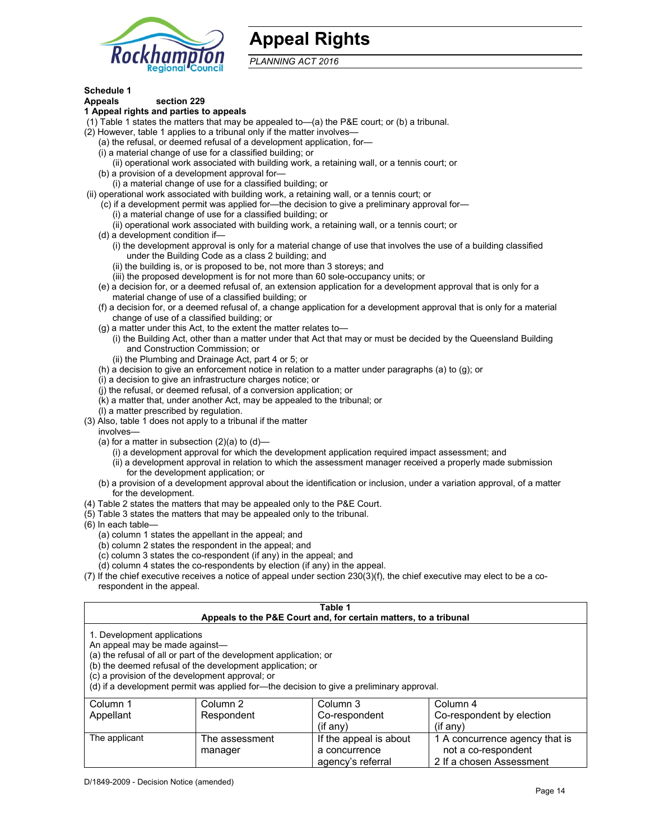

# **Appeal Rights**

*PLANNING ACT 2016*

## **Schedule 1**

#### **Appeals section 229 1 Appeal rights and parties to appeals**

- (1) Table 1 states the matters that may be appealed to—(a) the P&E court; or (b) a tribunal.
- (2) However, table 1 applies to a tribunal only if the matter involves—
	- (a) the refusal, or deemed refusal of a development application, for—
	- (i) a material change of use for a classified building; or
	- (ii) operational work associated with building work, a retaining wall, or a tennis court; or
	- (b) a provision of a development approval for—
	- (i) a material change of use for a classified building; or
- (ii) operational work associated with building work, a retaining wall, or a tennis court; or
	- (c) if a development permit was applied for—the decision to give a preliminary approval for—
		- (i) a material change of use for a classified building; or
		- (ii) operational work associated with building work, a retaining wall, or a tennis court; or
	- (d) a development condition if—
		- (i) the development approval is only for a material change of use that involves the use of a building classified under the Building Code as a class 2 building; and
		- (ii) the building is, or is proposed to be, not more than 3 storeys; and
		- (iii) the proposed development is for not more than 60 sole-occupancy units; or
	- (e) a decision for, or a deemed refusal of, an extension application for a development approval that is only for a material change of use of a classified building; or
	- (f) a decision for, or a deemed refusal of, a change application for a development approval that is only for a material change of use of a classified building; or
	- (g) a matter under this Act, to the extent the matter relates to—
		- (i) the Building Act, other than a matter under that Act that may or must be decided by the Queensland Building and Construction Commission; or
		- (ii) the Plumbing and Drainage Act, part 4 or 5; or
	- (h) a decision to give an enforcement notice in relation to a matter under paragraphs (a) to (g); or
	- (i) a decision to give an infrastructure charges notice; or
	- (j) the refusal, or deemed refusal, of a conversion application; or
	- (k) a matter that, under another Act, may be appealed to the tribunal; or
	- (l) a matter prescribed by regulation.
- (3) Also, table 1 does not apply to a tribunal if the matter
- involves—
	- (a) for a matter in subsection  $(2)(a)$  to  $(d)$ 
		- (i) a development approval for which the development application required impact assessment; and
		- (ii) a development approval in relation to which the assessment manager received a properly made submission for the development application; or
	- (b) a provision of a development approval about the identification or inclusion, under a variation approval, of a matter for the development.
- (4) Table 2 states the matters that may be appealed only to the P&E Court.
- (5) Table 3 states the matters that may be appealed only to the tribunal.
- (6) In each table—
	- (a) column 1 states the appellant in the appeal; and
	- (b) column 2 states the respondent in the appeal; and
	- (c) column 3 states the co-respondent (if any) in the appeal; and

manager

- (d) column 4 states the co-respondents by election (if any) in the appeal.
- (7) If the chief executive receives a notice of appeal under section 230(3)(f), the chief executive may elect to be a corespondent in the appeal.

| Table 1<br>Appeals to the P&E Court and, for certain matters, to a tribunal                                                                                                                                                                                                                                                                    |                |                        |                                |  |
|------------------------------------------------------------------------------------------------------------------------------------------------------------------------------------------------------------------------------------------------------------------------------------------------------------------------------------------------|----------------|------------------------|--------------------------------|--|
| 1. Development applications<br>An appeal may be made against-<br>(a) the refusal of all or part of the development application; or<br>(b) the deemed refusal of the development application; or<br>(c) a provision of the development approval; or<br>(d) if a development permit was applied for—the decision to give a preliminary approval. |                |                        |                                |  |
| Column 2<br>Column 3<br>Column 4<br>Column 1<br>Co-respondent by election<br>Appellant<br>Respondent<br>Co-respondent<br>(i f an v)<br>(if any)                                                                                                                                                                                                |                |                        |                                |  |
| The applicant                                                                                                                                                                                                                                                                                                                                  | The assessment | If the appeal is about | 1 A concurrence agency that is |  |

a concurrence agency's referral

not a co-respondent 2 If a chosen Assessment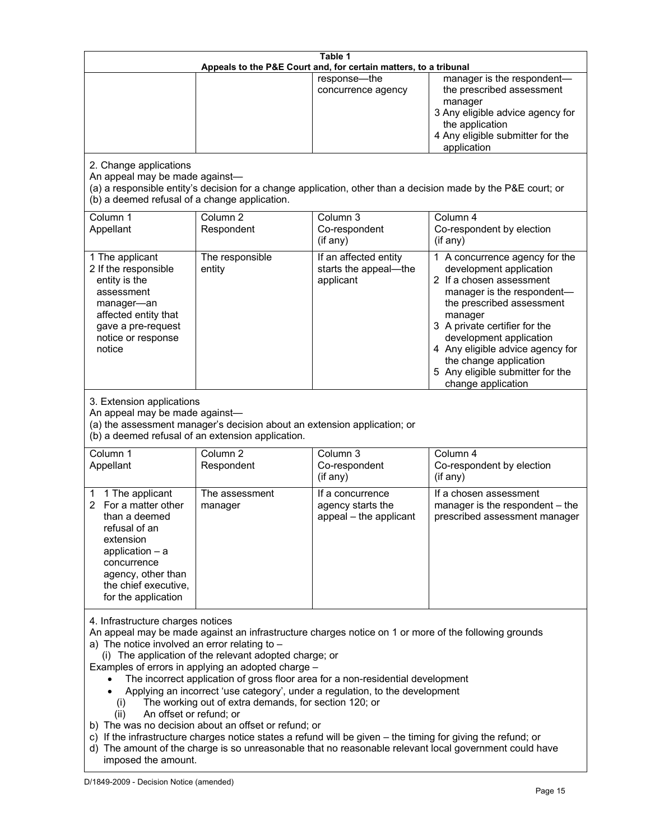| Table 1<br>Appeals to the P&E Court and, for certain matters, to a tribunal                                                                                                                                                                                                                                                                                                                                                                                                                                                                                                                                                                                                                                                                                                                                                                                                               |                                                                                                                                                                                              |                                                                 |                                                                                                                                                                                                                                                                                                                                                 |  |
|-------------------------------------------------------------------------------------------------------------------------------------------------------------------------------------------------------------------------------------------------------------------------------------------------------------------------------------------------------------------------------------------------------------------------------------------------------------------------------------------------------------------------------------------------------------------------------------------------------------------------------------------------------------------------------------------------------------------------------------------------------------------------------------------------------------------------------------------------------------------------------------------|----------------------------------------------------------------------------------------------------------------------------------------------------------------------------------------------|-----------------------------------------------------------------|-------------------------------------------------------------------------------------------------------------------------------------------------------------------------------------------------------------------------------------------------------------------------------------------------------------------------------------------------|--|
|                                                                                                                                                                                                                                                                                                                                                                                                                                                                                                                                                                                                                                                                                                                                                                                                                                                                                           |                                                                                                                                                                                              | response-the<br>concurrence agency                              | manager is the respondent-<br>the prescribed assessment<br>manager<br>3 Any eligible advice agency for<br>the application<br>4 Any eligible submitter for the<br>application                                                                                                                                                                    |  |
| 2. Change applications<br>An appeal may be made against-<br>(b) a deemed refusal of a change application.                                                                                                                                                                                                                                                                                                                                                                                                                                                                                                                                                                                                                                                                                                                                                                                 |                                                                                                                                                                                              |                                                                 | (a) a responsible entity's decision for a change application, other than a decision made by the P&E court; or                                                                                                                                                                                                                                   |  |
| Column 1<br>Appellant                                                                                                                                                                                                                                                                                                                                                                                                                                                                                                                                                                                                                                                                                                                                                                                                                                                                     | Column <sub>2</sub><br>Respondent                                                                                                                                                            | Column 3<br>Co-respondent<br>(if any)                           | Column 4<br>Co-respondent by election<br>(if any)                                                                                                                                                                                                                                                                                               |  |
| 1 The applicant<br>2 If the responsible<br>entity is the<br>assessment<br>manager-an<br>affected entity that<br>gave a pre-request<br>notice or response<br>notice                                                                                                                                                                                                                                                                                                                                                                                                                                                                                                                                                                                                                                                                                                                        | The responsible<br>entity                                                                                                                                                                    | If an affected entity<br>starts the appeal-the<br>applicant     | 1 A concurrence agency for the<br>development application<br>2 If a chosen assessment<br>manager is the respondent-<br>the prescribed assessment<br>manager<br>3 A private certifier for the<br>development application<br>4 Any eligible advice agency for<br>the change application<br>5 Any eligible submitter for the<br>change application |  |
|                                                                                                                                                                                                                                                                                                                                                                                                                                                                                                                                                                                                                                                                                                                                                                                                                                                                                           | 3. Extension applications<br>An appeal may be made against-<br>(a) the assessment manager's decision about an extension application; or<br>(b) a deemed refusal of an extension application. |                                                                 |                                                                                                                                                                                                                                                                                                                                                 |  |
| Column 1<br>Appellant                                                                                                                                                                                                                                                                                                                                                                                                                                                                                                                                                                                                                                                                                                                                                                                                                                                                     | Column <sub>2</sub><br>Respondent                                                                                                                                                            | Column 3<br>Co-respondent<br>(if any)                           | Column 4<br>Co-respondent by election<br>(if any)                                                                                                                                                                                                                                                                                               |  |
| 1 The applicant<br>1<br>2 For a matter other<br>than a deemed<br>refusal of an<br>extension<br>application $-$ a<br>concurrence<br>agency, other than<br>the chief executive,<br>for the application                                                                                                                                                                                                                                                                                                                                                                                                                                                                                                                                                                                                                                                                                      | The assessment<br>manager                                                                                                                                                                    | If a concurrence<br>agency starts the<br>appeal - the applicant | If a chosen assessment<br>manager is the respondent - the<br>prescribed assessment manager                                                                                                                                                                                                                                                      |  |
| 4. Infrastructure charges notices<br>An appeal may be made against an infrastructure charges notice on 1 or more of the following grounds<br>a) The notice involved an error relating to -<br>(i) The application of the relevant adopted charge; or<br>Examples of errors in applying an adopted charge -<br>The incorrect application of gross floor area for a non-residential development<br>Applying an incorrect 'use category', under a regulation, to the development<br>The working out of extra demands, for section 120; or<br>(1)<br>An offset or refund; or<br>(ii)<br>b) The was no decision about an offset or refund; or<br>c) If the infrastructure charges notice states a refund will be given - the timing for giving the refund; or<br>d) The amount of the charge is so unreasonable that no reasonable relevant local government could have<br>imposed the amount. |                                                                                                                                                                                              |                                                                 |                                                                                                                                                                                                                                                                                                                                                 |  |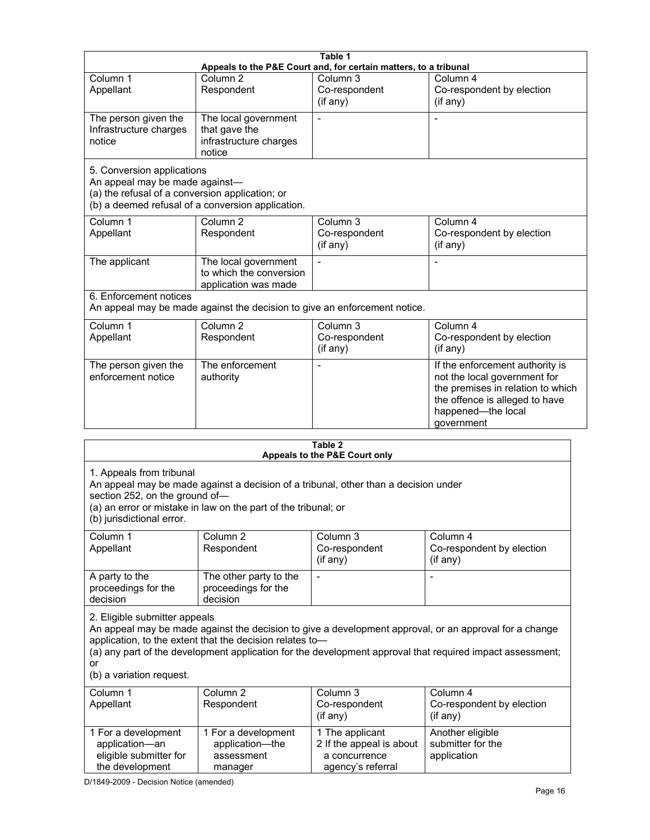|                                                                                                                  |                                                                                                                                                                                            | Table 1<br>Appeals to the P&E Court and, for certain matters, to a tribunal |                                                                                                                                                                                                                     |
|------------------------------------------------------------------------------------------------------------------|--------------------------------------------------------------------------------------------------------------------------------------------------------------------------------------------|-----------------------------------------------------------------------------|---------------------------------------------------------------------------------------------------------------------------------------------------------------------------------------------------------------------|
| Column 1<br>Appellant                                                                                            | Column <sub>2</sub><br>Respondent                                                                                                                                                          | Column 3<br>Co-respondent<br>(if any)                                       | Column 4<br>Co-respondent by election<br>(if any)                                                                                                                                                                   |
| The person given the<br>Infrastructure charges<br>notice                                                         | The local government<br>that gave the<br>infrastructure charges<br>notice                                                                                                                  |                                                                             |                                                                                                                                                                                                                     |
| 5. Conversion applications<br>An appeal may be made against-<br>(a) the refusal of a conversion application; or  | (b) a deemed refusal of a conversion application.                                                                                                                                          |                                                                             |                                                                                                                                                                                                                     |
| Column 1<br>Appellant                                                                                            | Column <sub>2</sub><br>Respondent                                                                                                                                                          | Column 3<br>Co-respondent<br>(if any)                                       | Column 4<br>Co-respondent by election<br>(if any)                                                                                                                                                                   |
| The applicant                                                                                                    | The local government<br>to which the conversion<br>application was made                                                                                                                    | $\blacksquare$                                                              | $\blacksquare$                                                                                                                                                                                                      |
| 6. Enforcement notices                                                                                           | An appeal may be made against the decision to give an enforcement notice.                                                                                                                  |                                                                             |                                                                                                                                                                                                                     |
| Column 1<br>Appellant                                                                                            | Column <sub>2</sub><br>Respondent                                                                                                                                                          | Column 3<br>Co-respondent<br>(if any)                                       | Column 4<br>Co-respondent by election<br>(if any)                                                                                                                                                                   |
| The person given the<br>enforcement notice                                                                       | The enforcement<br>authority                                                                                                                                                               |                                                                             | If the enforcement authority is<br>not the local government for<br>the premises in relation to which<br>the offence is alleged to have<br>happened-the local<br>government                                          |
|                                                                                                                  |                                                                                                                                                                                            | Table 2                                                                     |                                                                                                                                                                                                                     |
| 1. Appeals from tribunal<br>section 252, on the ground of-<br>(b) jurisdictional error.<br>Column 1<br>Appellant | An appeal may be made against a decision of a tribunal, other than a decision under<br>(a) an error or mistake in law on the part of the tribunal; or<br>Column <sub>2</sub><br>Respondent | Appeals to the P&E Court only<br>Column 3<br>Co-respondent<br>(if any)      | Column 4<br>Co-respondent by election<br>(if any)                                                                                                                                                                   |
| A party to the<br>proceedings for the<br>decision                                                                | The other party to the<br>proceedings for the<br>decision                                                                                                                                  |                                                                             |                                                                                                                                                                                                                     |
| 2. Eligible submitter appeals<br>or<br>(b) a variation request.                                                  | application, to the extent that the decision relates to-                                                                                                                                   |                                                                             | An appeal may be made against the decision to give a development approval, or an approval for a change<br>(a) any part of the development application for the development approval that required impact assessment; |
| Column 1<br>Appellant                                                                                            | Column 2<br>Respondent                                                                                                                                                                     | Column 3<br>Co-respondent<br>(if any)                                       | Column 4<br>Co-respondent by election<br>(if any)                                                                                                                                                                   |
| 1 For a development<br>application-an<br>eligible submitter for                                                  | 1 For a development<br>application-the<br>assessment                                                                                                                                       | 1 The applicant<br>2 If the appeal is about<br>a concurrence                | Another eligible<br>submitter for the<br>application                                                                                                                                                                |

| Column 1            | Column 2               | Column 3      | Column 4                  |
|---------------------|------------------------|---------------|---------------------------|
| Appellant           | Respondent             | Co-respondent | Co-respondent by election |
|                     |                        | (if any)      | $(if$ any)                |
|                     |                        |               |                           |
| A party to the      | The other party to the | -             |                           |
| proceedings for the | proceedings for the    |               |                           |
| decision            | decision               |               |                           |

| Column 1<br>Appellant                                                              | Column 2<br>Respondent                                          | Column 3<br>Co-respondent<br>$(if$ any)                                           | Column 4<br>Co-respondent by election<br>(if any)    |
|------------------------------------------------------------------------------------|-----------------------------------------------------------------|-----------------------------------------------------------------------------------|------------------------------------------------------|
| 1 For a development<br>application-an<br>eligible submitter for<br>the development | 1 For a development<br>application-the<br>assessment<br>manager | 1 The applicant<br>2 If the appeal is about<br>a concurrence<br>agency's referral | Another eligible<br>submitter for the<br>application |

D/1849-2009 - Decision Notice (amended)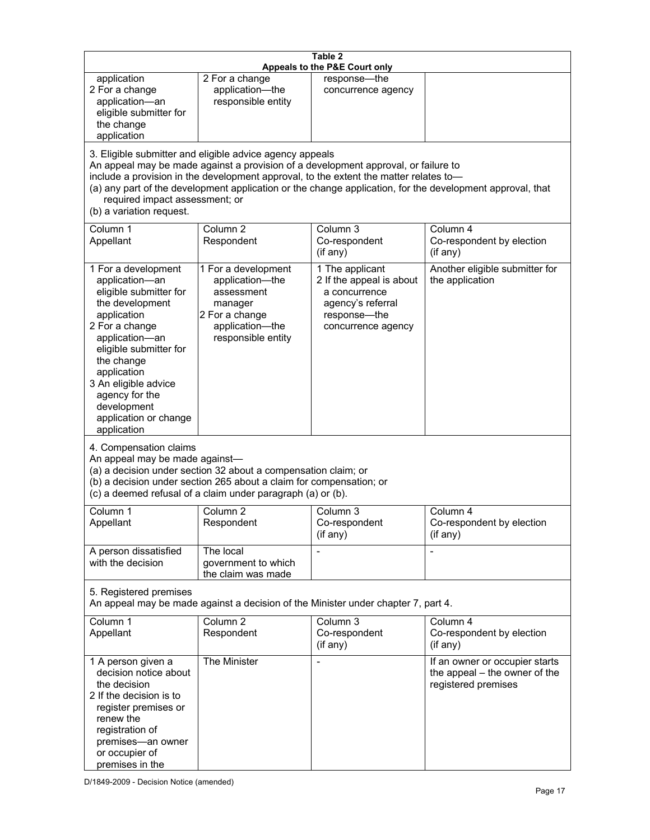| Table 2<br>Appeals to the P&E Court only                                                                                                                                                                                                                                                      |                                                                                                                                                                                                                                         |                                                                                                                         |                                                                                                           |
|-----------------------------------------------------------------------------------------------------------------------------------------------------------------------------------------------------------------------------------------------------------------------------------------------|-----------------------------------------------------------------------------------------------------------------------------------------------------------------------------------------------------------------------------------------|-------------------------------------------------------------------------------------------------------------------------|-----------------------------------------------------------------------------------------------------------|
| application<br>2 For a change<br>application-an<br>eligible submitter for<br>the change<br>application                                                                                                                                                                                        | 2 For a change<br>application-the<br>responsible entity                                                                                                                                                                                 | response-the<br>concurrence agency                                                                                      |                                                                                                           |
| required impact assessment; or<br>(b) a variation request.                                                                                                                                                                                                                                    | 3. Eligible submitter and eligible advice agency appeals<br>An appeal may be made against a provision of a development approval, or failure to<br>include a provision in the development approval, to the extent the matter relates to- |                                                                                                                         | (a) any part of the development application or the change application, for the development approval, that |
| Column 1<br>Appellant                                                                                                                                                                                                                                                                         | Column <sub>2</sub><br>Respondent                                                                                                                                                                                                       | Column 3<br>Co-respondent<br>(if any)                                                                                   | Column 4<br>Co-respondent by election<br>(if any)                                                         |
| 1 For a development<br>application-an<br>eligible submitter for<br>the development<br>application<br>2 For a change<br>application-an<br>eligible submitter for<br>the change<br>application<br>3 An eligible advice<br>agency for the<br>development<br>application or change<br>application | 1 For a development<br>application-the<br>assessment<br>manager<br>2 For a change<br>application-the<br>responsible entity                                                                                                              | 1 The applicant<br>2 If the appeal is about<br>a concurrence<br>agency's referral<br>response-the<br>concurrence agency | Another eligible submitter for<br>the application                                                         |
| 4. Compensation claims<br>An appeal may be made against-                                                                                                                                                                                                                                      | (a) a decision under section 32 about a compensation claim; or<br>(b) a decision under section 265 about a claim for compensation; or<br>(c) a deemed refusal of a claim under paragraph (a) or (b).                                    |                                                                                                                         |                                                                                                           |
| Column 1<br>Appellant                                                                                                                                                                                                                                                                         | Column <sub>2</sub><br>Respondent                                                                                                                                                                                                       | Column 3<br>Co-respondent<br>(i f any)                                                                                  | Column 4<br>Co-respondent by election<br>$($ if any $)$                                                   |
| A person dissatisfied<br>with the decision                                                                                                                                                                                                                                                    | The local<br>government to which<br>the claim was made                                                                                                                                                                                  | $\overline{a}$                                                                                                          |                                                                                                           |
| 5. Registered premises<br>An appeal may be made against a decision of the Minister under chapter 7, part 4.                                                                                                                                                                                   |                                                                                                                                                                                                                                         |                                                                                                                         |                                                                                                           |
| Column 1<br>Appellant                                                                                                                                                                                                                                                                         | Column <sub>2</sub><br>Respondent                                                                                                                                                                                                       | Column $3$<br>Co-respondent<br>(if any)                                                                                 | Column 4<br>Co-respondent by election<br>(if any)                                                         |
| 1 A person given a<br>decision notice about<br>the decision<br>2 If the decision is to<br>register premises or<br>renew the<br>registration of<br>premises-an owner<br>or occupier of<br>premises in the                                                                                      | The Minister                                                                                                                                                                                                                            |                                                                                                                         | If an owner or occupier starts<br>the appeal - the owner of the<br>registered premises                    |

D/1849-2009 - Decision Notice (amended)